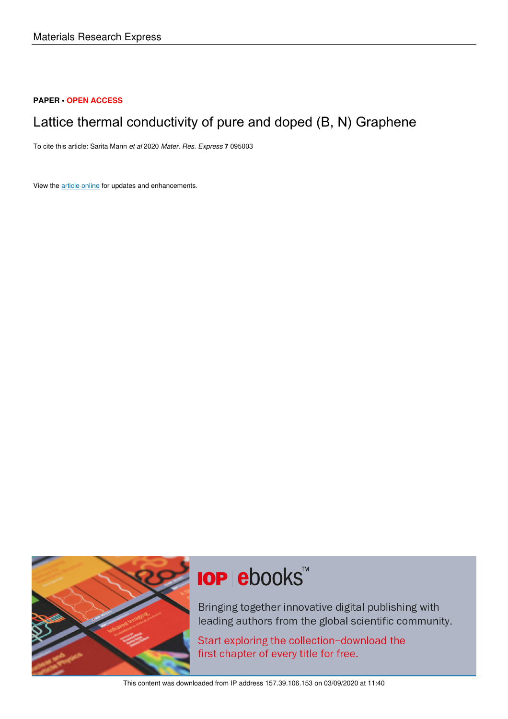# **PAPER • OPEN ACCESS**

# Lattice thermal conductivity of pure and doped (B, N) Graphene

To cite this article: Sarita Mann et al 2020 Mater. Res. Express **7** 095003

View the **article online** for updates and enhancements.



# **IOP ebooks**™

Bringing together innovative digital publishing with leading authors from the global scientific community.

Start exploring the collection-download the first chapter of every title for free.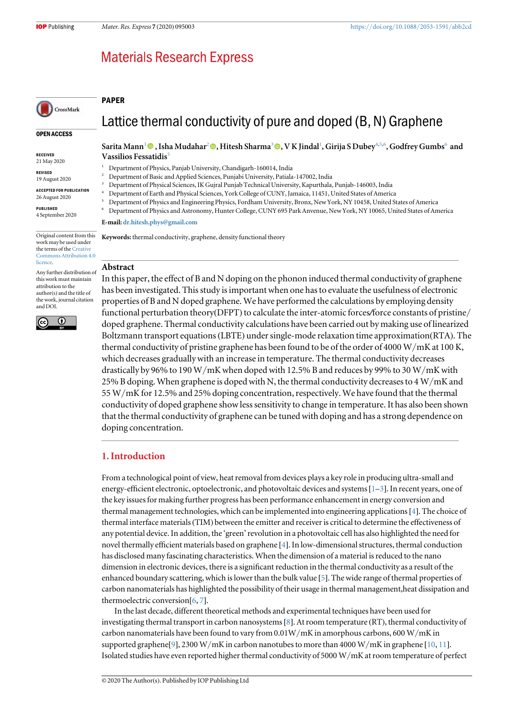# **Materials Research Express**

## PAPER



#### OPEN ACCESS

RECEIVED 21 May 2020

REVISED 19 August 2020

ACCEPTED FOR PUBLICATION

26 August 2020 PUBLISHED

4 September 2020

Original content from this work may be used under the terms of the Creative Commons Attribution 4.0 licence.

Any further distribution of this work must maintain attribution to the author(s) and the title of the work, journal citation and DOI.



Lattice thermal conductivity of pure and doped (B, N) Graphene

#### Sarita Mann<sup>1</sup> , Isha Mudahar<sup>2</sup> , Hitesh Sharma<sup>3</sup> , V K Jindal<sup>1</sup> , Girija S Dubey4,5,6 , Godfrey Gumbs<sup>6</sup> and Vassilios Fessatidis<sup>5</sup>

- <sup>1</sup> Department of Physics, Panjab University, Chandigarh-160014, India
- <sup>2</sup> Department of Basic and Applied Sciences, Punjabi University, Patiala-147002, India
- <sup>3</sup> Department of Physical Sciences, IK Gujral Punjab Technical University, Kapurthala, Punjab-146003, India
- <sup>4</sup> Department of Earth and Physical Sciences, York College of CUNY, Jamaica, 11451, United States of America
- <sup>5</sup> Department of Physics and Engineering Physics, Fordham University, Bronx, New York, NY 10458, United States of America
- <sup>6</sup> Department of Physics and Astronomy, Hunter College, CUNY 695 Park Anvenue, New York, NY 10065, United States of America

#### E-mail: dr.hitesh.phys@gmail.com

Keywords: thermal conductivity, graphene, density functional theory

#### Abstract

In this paper, the effect of B and N doping on the phonon induced thermal conductivity of graphene has been investigated. This study is important when one has to evaluate the usefulness of electronic properties of B and N doped graphene. We have performed the calculations by employing density functional perturbation theory(DFPT) to calculate the inter-atomic forces/force constants of pristine/ doped graphene. Thermal conductivity calculations have been carried out by making use of linearized Boltzmann transport equations(LBTE) under single-mode relaxation time approximation(RTA). The thermal conductivity of pristine graphene has been found to be of the order of 4000 W/mK at 100 K, which decreases gradually with an increase in temperature. The thermal conductivity decreases drastically by 96% to 190 W/mK when doped with 12.5% B and reduces by 99% to 30 W/mK with 25% B doping. When graphene is doped with N, the thermal conductivity decreases to 4 W/mK and 55 W/mK for 12.5% and 25% doping concentration, respectively. We have found that the thermal conductivity of doped graphene show less sensitivity to change in temperature. It has also been shown that the thermal conductivity of graphene can be tuned with doping and has a strong dependence on doping concentration.

# 1. Introduction

From a technological point of view, heat removal from devices plays a key role in producing ultra-small and energy-efficient electronic, optoelectronic, and photovoltaic devices and systems [1–3]. In recent years, one of the key issues for making further progress has been performance enhancement in energy conversion and thermal management technologies, which can be implemented into engineering applications[4]. The choice of thermal interface materials(TIM) between the emitter and receiver is critical to determine the effectiveness of any potential device. In addition, the 'green'revolution in a photovoltaic cell has also highlighted the need for novel thermally efficient materials based on graphene [4]. In low-dimensional structures, thermal conduction has disclosed many fascinating characteristics. When the dimension of a material is reduced to the nano dimension in electronic devices, there is a significant reduction in the thermal conductivity as a result of the enhanced boundary scattering, which is lower than the bulk value [5]. The wide range of thermal properties of carbon nanomaterials has highlighted the possibility of their usage in thermal management,heat dissipation and thermoelectric conversion[6, 7].

In the last decade, different theoretical methods and experimental techniques have been used for investigating thermal transport in carbon nanosystems[8]. At room temperature (RT), thermal conductivity of carbon nanomaterials have been found to vary from  $0.01W/mK$  in amorphous carbons, 600 W/mK in supported graphene [9], 2300 W/mK in carbon nanotubes to more than 4000 W/mK in graphene [10, 11]. Isolated studies have even reported higher thermal conductivity of 5000 W/mK at room temperature of perfect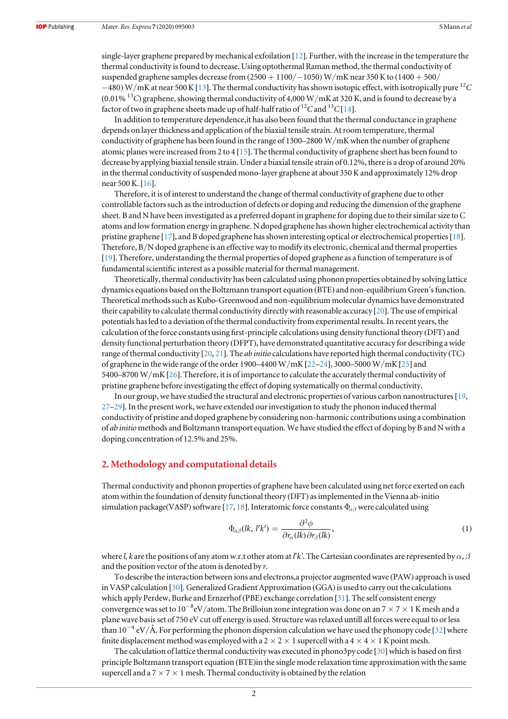single-layer graphene prepared by mechanical exfoilation [12]. Further, with the increase in the temperature the thermal conductivity is found to decrease. Using optothermal Raman method, the thermal conductivity of suspended graphene samples decrease from (2500 + 1100/-1050) W/mK near 350 K to (1400 + 500/ −480) W/mK at near 500 K[13]. The thermal conductivity has shown isotopic effect, with isotropically pure <sup>12</sup>*C* (0.01% <sup>13</sup>*C*) graphene, showing thermal conductivity of 4,000 W/mK at 320 K, and is found to decrease by a factor of two in graphene sheets made up of half-half ratio of <sup>12</sup>C and <sup>13</sup>C [14].

In addition to temperature dependence,it has also been found that the thermal conductance in graphene depends on layer thickness and application of the biaxial tensile strain. At room temperature, thermal conductivity of graphene has been found in the range of 1300–2800 W/mK when the number of graphene atomic planes were increased from 2 to 4 [15]. The thermal conductivity of graphene sheet has been found to decrease by applying biaxial tensile strain. Under a biaxial tensile strain of 0.12%, there is a drop of around 20% in the thermal conductivity of suspended mono-layer graphene at about 350 K and approximately 12% drop near 500 K. [16].

Therefore, it is of interest to understand the change of thermal conductivity of graphene due to other controllable factors such as the introduction of defects or doping and reducing the dimension of the graphene sheet. B and N have been investigated as a preferred dopant in graphene for doping due to their similar size to C atoms and low formation energy in graphene. N doped graphene has shown higher electrochemical activity than pristine graphene [17], and B doped graphene has shown interesting optical or electrochemical properties[18]. Therefore, B/N doped graphene is an effective way to modify its electronic, chemical and thermal properties [19]. Therefore, understanding the thermal properties of doped graphene as a function of temperature is of fundamental scientific interest as a possible material for thermal management.

Theoretically, thermal conductivity has been calculated using phonon properties obtained by solving lattice dynamics equations based on the Boltzmann transport equation (BTE) and non-equilibrium Green's function. Theoretical methods such as Kubo-Greenwood and non-equilibrium molecular dynamics have demonstrated their capability to calculate thermal conductivity directly with reasonable accuracy [20]. The use of empirical potentials has led to a deviation of the thermal conductivity from experimental results. In recent years, the calculation of the force constants using first-principle calculations using density functional theory (DFT) and density functional perturbation theory (DFPT), have demonstrated quantitative accuracy for describing a wide range of thermal conductivity [20, 21]. The *ab initio* calculations have reported high thermal conductivity (TC) of graphene in the wide range of the order 1900–4400 W/mK [22–24], 3000–5000 W/mK [25] and 5400–8700 W/mK[26]. Therefore, it is of importance to calculate the accurately thermal conductivity of pristine graphene before investigating the effect of doping systematically on thermal conductivity.

In our group, we have studied the structural and electronic properties of various carbon nanostructures[19, 27–29]. In the present work, we have extended our investigation to study the phonon induced thermal conductivity of pristine and doped graphene by considering non-harmonic contributions using a combination of *ab initio* methods and Boltzmann transport equation. We have studied the effect of doping by B and N with a doping concentration of 12.5% and 25%.

# 2. Methodology and computational details

Thermal conductivity and phonon properties of graphene have been calculated using net force exerted on each atom within the foundation of density functional theory (DFT) as implemented in the Vienna ab-initio simulation package(VASP) software [17, 18]. Interatomic force constants  $\Phi_{\alpha\beta}$  were calculated using

$$
\Phi_{\alpha\beta}(lk, l'k') = \frac{\partial^2 \phi}{\partial r_{\alpha}(lk)\partial r_{\beta}(lk)},\tag{1}
$$

where *l, k* are the positions of any atom w.r.t other atom at *l'k'*. The Cartesian coordinates are represented by  $\alpha$ ,  $\beta$ and the position vector of the atom is denoted by *r*.

To describe the interaction between ions and electrons,a projector augmented wave (PAW) approach is used in VASP calculation [30]. Generalized Gradient Approximation (GGA) is used to carry out the calculations which apply Perdew, Burke and Ernzerhof (PBE) exchange correlation [31]. The self consistent energy convergence was set to  $10^{-8}$ eV/atom. The Brilloiun zone integration was done on an  $7 \times 7 \times 1$  K mesh and a plane wave basis set of 750 eV cut off energy is used. Structure was relaxed untill all forces were equal to or less than 10<sup>-4</sup> eV/Å. For performing the phonon dispersion calculation we have used the phonopy code [32] where finite displacement method was employed with a 2  $\times$  2  $\times$  1 supercell with a 4  $\times$  4  $\times$  1 K point mesh.

The calculation of lattice thermal conductivity was executed in phono3py code [30] which is based on first principle Boltzmann transport equation (BTE)in the single mode relaxation time approximation with the same supercell and a  $7 \times 7 \times 1$  mesh. Thermal conductivity is obtained by the relation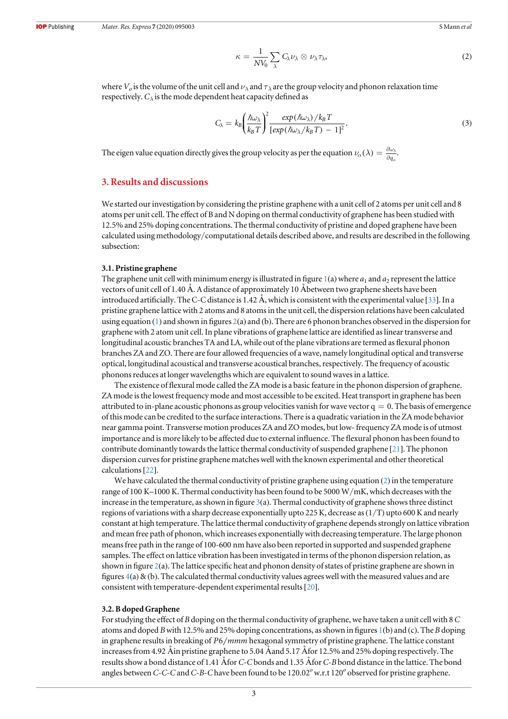$$
\kappa = \frac{1}{NV_0} \sum_{\lambda} C_{\lambda} \nu_{\lambda} \otimes \nu_{\lambda} \tau_{\lambda}, \tag{2}
$$

where  $V_o$  is the volume of the unit cell and  $\nu_{\lambda}$  and  $\tau_{\lambda}$  are the group velocity and phonon relaxation time respectively.  $C_{\lambda}$  is the mode dependent heat capacity defined as

$$
C_{\lambda} = k_B \left(\frac{\hbar \omega_{\lambda}}{k_B T}\right)^2 \frac{\exp(\hbar \omega_{\lambda})/k_B T}{\left[\exp(\hbar \omega_{\lambda}/k_B T) - 1\right]^2}.
$$
\n(3)

*a*

The eigen value equation directly gives the group velocity as per the equation  $\nu_\alpha(\lambda) = \frac{\partial \omega_\alpha}{\partial q^2}$  $\frac{\partial \omega_\lambda}{\partial q_\alpha}$ .

# 3. Results and discussions

We started our investigation by considering the pristine graphene with a unit cell of 2 atoms per unit cell and 8 atoms per unit cell. The effect of B and N doping on thermal conductivity of graphene has been studied with 12.5% and 25% doping concentrations. The thermal conductivity of pristine and doped graphene have been calculated using methodology/computational details described above, and results are described in the following subsection:

#### 3.1. Pristine graphene

The graphene unit cell with minimum energy is illustrated in figure  $1(a)$  where  $a_1$  and  $a_2$  represent the lattice vectors of unit cell of 1.40 Å. A distance of approximately 10 Åbetween two graphene sheets have been introduced artificially. The C-C distance is 1.42 Å, which is consistent with the experimental value [33]. In a pristine graphene lattice with 2 atoms and 8 atoms in the unit cell, the dispersion relations have been calculated using equation (1) and shown in figures 2(a) and (b). There are 6 phonon branches observed in the dispersion for graphene with 2 atom unit cell. In plane vibrations of graphene lattice are identified as linear transverse and longitudinal acoustic branches TA and LA, while out of the plane vibrations are termed as flexural phonon branches ZA and ZO. There are four allowed frequencies of a wave, namely longitudinal optical and transverse optical, longitudinal acoustical and transverse acoustical branches, respectively. The frequency of acoustic phonons reduces at longer wavelengths which are equivalent to sound waves in a lattice.

The existence of flexural mode called the ZA mode is a basic feature in the phonon dispersion of graphene. ZA mode is the lowest frequency mode and most accessible to be excited. Heat transport in graphene has been attributed to in-plane acoustic phonons as group velocities vanish for wave vector  $q = 0$ . The basis of emergence of this mode can be credited to the surface interactions. There is a quadratic variation in the ZA mode behavior near gamma point. Transverse motion produces ZA and ZO modes, but low- frequency ZA mode is of utmost importance and is more likely to be affected due to external influence. The flexural phonon has been found to contribute dominantly towards the lattice thermal conductivity of suspended graphene [21]. The phonon dispersion curves for pristine graphene matches well with the known experimental and other theoretical calculations[22].

We have calculated the thermal conductivity of pristine graphene using equation (2) in the temperature range of 100 K–1000 K. Thermal conductivity has been found to be 5000 W/mK, which decreases with the increase in the temperature, as shown in figure  $3(a)$ . Thermal conductivity of graphene shows three distinct regions of variations with a sharp decrease exponentially upto 225 K, decrease as  $(1/T)$  upto 600 K and nearly constant at high temperature. The lattice thermal conductivity of graphene depends strongly on lattice vibration and mean free path of phonon, which increases exponentially with decreasing temperature. The large phonon means free path in the range of 100-600 nm have also been reported in supported and suspended graphene samples. The effect on lattice vibration has been investigated in terms of the phonon dispersion relation, as shown in figure 2(a). The lattice specific heat and phonon density of states of pristine graphene are shown in figures  $4(a)$  & (b). The calculated thermal conductivity values agrees well with the measured values and are consistent with temperature-dependent experimental results[20].

#### 3.2. B doped Graphene

For studying the effect of *B* doping on the thermal conductivity of graphene, we have taken a unit cell with 8*C* atoms and doped *B*with 12.5% and 25% doping concentrations, as shown in figures 1(b) and (c). The *B* doping in graphene results in breaking of *P*6 *mmm* hexagonal symmetry of pristine graphene. The lattice constant increases from 4.92 Åin pristine graphene to 5.04 Åand 5.17 Åfor 12.5% and 25% doping respectively. The results show a bond distance of 1.41 Åfor *C*-*C* bonds and 1.35 Åfor *C*-*B* bond distance in the lattice. The bond angles between *C*-*C*-*C* and *C*-*B*-*C* have been found to be 120.02<sup>°</sup> w.r.t 120<sup>°</sup> observed for pristine graphene.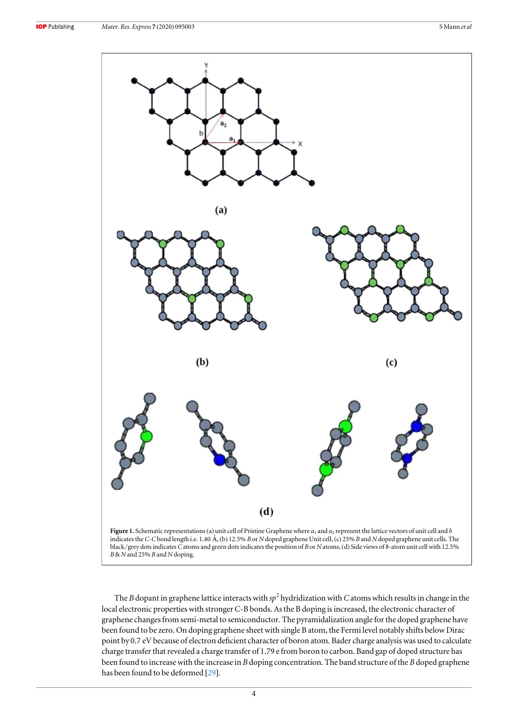

*B*& *N* and 25% *B* and *N* doping.

The *B* dopant in graphene lattice interacts with  $sp^2$  hydridization with *C* atoms which results in change in the local electronic properties with stronger C-B bonds. As the B doping is increased, the electronic character of graphene changes from semi-metal to semiconductor. The pyramidalization angle for the doped graphene have been found to be zero. On doping graphene sheet with single B atom, the Fermi level notably shifts below Dirac point by 0.7 eV because of electron deficient character of boron atom. Bader charge analysis was used to calculate charge transfer that revealed a charge transfer of 1.79 e from boron to carbon. Band gap of doped structure has been found to increase with the increase in *B* doping concentration. The band structure of the *B* doped graphene has been found to be deformed [29].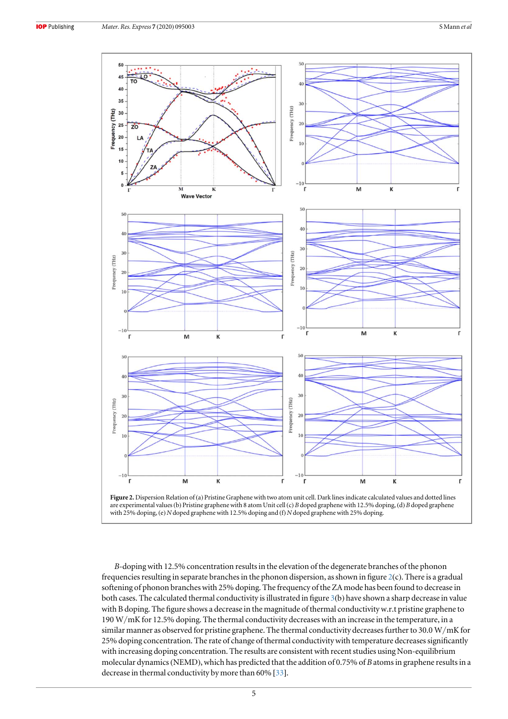

*B*-doping with 12.5% concentration results in the elevation of the degenerate branches of the phonon frequencies resulting in separate branches in the phonon dispersion, as shown in figure 2(c). There is a gradual softening of phonon branches with 25% doping. The frequency of the ZA mode has been found to decrease in both cases. The calculated thermal conductivity is illustrated in figure 3(b) have shown a sharp decrease in value with B doping. The figure shows a decrease in the magnitude of thermal conductivity w.r.t pristine graphene to 190 W/mK for 12.5% doping. The thermal conductivity decreases with an increase in the temperature, in a similar manner as observed for pristine graphene. The thermal conductivity decreases further to 30.0 W/mK for 25% doping concentration. The rate of change of thermal conductivity with temperature decreases significantly with increasing doping concentration. The results are consistent with recent studies using Non-equilibrium molecular dynamics(NEMD), which has predicted that the addition of 0.75% of *B* atoms in graphene results in a decrease in thermal conductivity by more than 60% [33].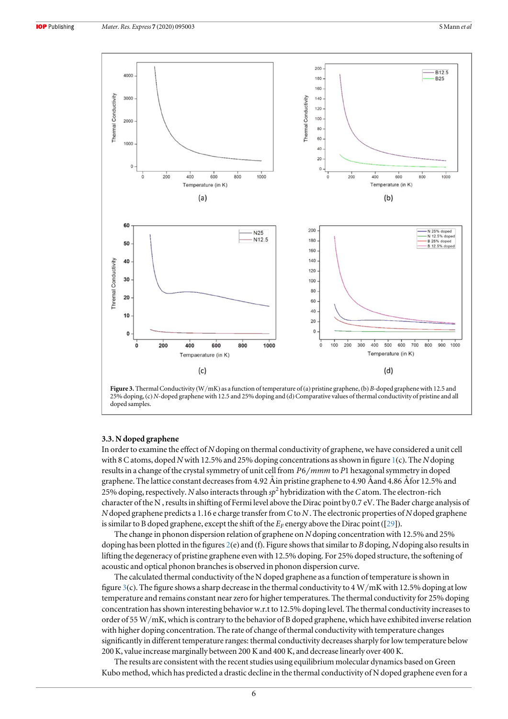



#### 3.3. N doped graphene

In order to examine the effect of *N* doping on thermal conductivity of graphene, we have considered a unit cell with 8 C atoms, doped *N* with 12.5% and 25% doping concentrations as shown in figure 1(c). The *N* doping results in a change of the crystal symmetry of unit cell from  $P6/mmm$  to P1 hexagonal symmetry in doped graphene. The lattice constant decreases from 4.92 Åin pristine graphene to 4.90 Åand 4.86 Åfor 12.5% and 25% doping, respectively. *N* also interacts through *sp*<sup>2</sup> hybridization with the*C* atom. The electron-rich character of the N , results in shifting of Fermi level above the Dirac point by 0.7 eV. The Bader charge analysis of *N* doped graphene predicts a 1.16 e charge transfer from *C* to *N* . The electronic properties of *N* doped graphene is similar to B doped graphene, except the shift of the  $E_F$  energy above the Dirac point ([29]).

The change in phonon dispersion relation of graphene on *N* doping concentration with 12.5% and 25% doping has been plotted in the figures 2(e) and (f). Figure shows that similar to *B* doping, *N* doping also results in lifting the degeneracy of pristine graphene even with 12.5% doping. For 25% doped structure, the softening of acoustic and optical phonon branches is observed in phonon dispersion curve.

The calculated thermal conductivity of the N doped graphene as a function of temperature is shown in figure 3(c). The figure shows a sharp decrease in the thermal conductivity to  $4 \text{ W/mK}$  with 12.5% doping at low temperature and remains constant near zero for higher temperatures. The thermal conductivity for 25% doping concentration has shown interesting behavior w.r.t to 12.5% doping level. The thermal conductivity increases to order of 55 W/mK, which is contrary to the behavior of B doped graphene, which have exhibited inverse relation with higher doping concentration. The rate of change of thermal conductivity with temperature changes significantly in different temperature ranges: thermal conductivity decreases sharply for low temperature below 200 K, value increase marginally between 200 K and 400 K, and decrease linearly over 400 K.

The results are consistent with the recent studies using equilibrium molecular dynamics based on Green Kubo method, which has predicted a drastic decline in the thermal conductivity of N doped graphene even for a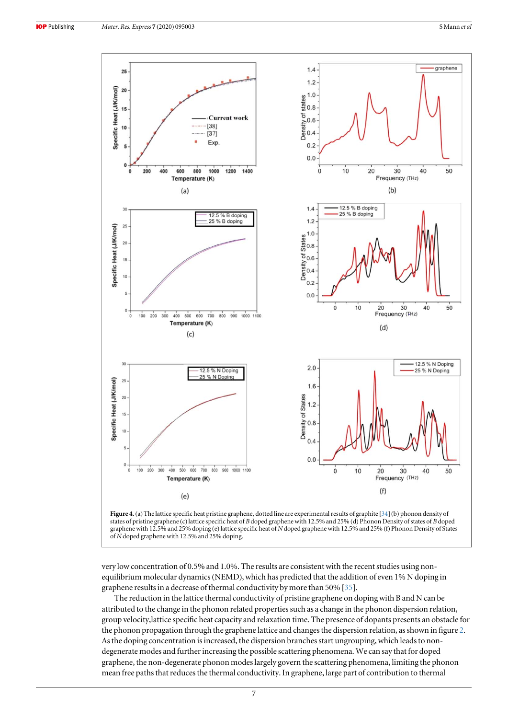



very low concentration of 0.5% and 1.0%. The results are consistent with the recent studies using nonequilibrium molecular dynamics(NEMD), which has predicted that the addition of even 1% N doping in graphene results in a decrease of thermal conductivity by more than 50% [35].

The reduction in the lattice thermal conductivity of pristine graphene on doping with B and N can be attributed to the change in the phonon related properties such as a change in the phonon dispersion relation, group velocity,lattice specific heat capacity and relaxation time. The presence of dopants presents an obstacle for the phonon propagation through the graphene lattice and changes the dispersion relation, as shown in figure 2. As the doping concentration is increased, the dispersion branches start ungrouping, which leads to nondegenerate modes and further increasing the possible scattering phenomena. We can say that for doped graphene, the non-degenerate phonon modes largely govern the scattering phenomena, limiting the phonon mean free paths that reduces the thermal conductivity. In graphene, large part of contribution to thermal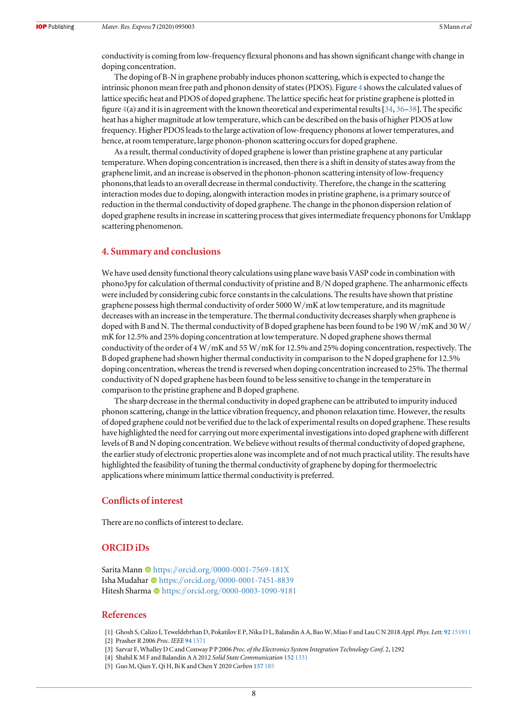conductivity is coming from low-frequency flexural phonons and has shown significant change with change in doping concentration.

The doping of B-N in graphene probably induces phonon scattering, which is expected to change the intrinsic phonon mean free path and phonon density of states(PDOS). Figure 4 shows the calculated values of lattice specific heat and PDOS of doped graphene. The lattice specific heat for pristine graphene is plotted in figure 4(a) and it is in agreement with the known theoretical and experimental results [34, 36–38]. The specific heat has a higher magnitude at low temperature, which can be described on the basis of higher PDOS at low frequency. Higher PDOS leads to the large activation of low-frequency phonons at lower temperatures, and hence, at room temperature, large phonon-phonon scattering occurs for doped graphene.

As a result, thermal conductivity of doped graphene is lower than pristine graphene at any particular temperature. When doping concentration is increased, then there is a shift in density of states away from the graphene limit, and an increase is observed in the phonon-phonon scattering intensity of low-frequency phonons,that leads to an overall decrease in thermal conductivity. Therefore, the change in the scattering interaction modes due to doping, alongwith interaction modes in pristine graphene, is a primary source of reduction in the thermal conductivity of doped graphene. The change in the phonon dispersion relation of doped graphene results in increase in scattering process that gives intermediate frequency phonons for Umklapp scattering phenomenon.

## 4. Summary and conclusions

We have used density functional theory calculations using plane wave basis VASP code in combination with phono3py for calculation of thermal conductivity of pristine and B/N doped graphene. The anharmonic effects were included by considering cubic force constants in the calculations. The results have shown that pristine graphene possess high thermal conductivity of order 5000 W/mK at low temperature, and its magnitude decreases with an increase in the temperature. The thermal conductivity decreases sharply when graphene is doped with B and N. The thermal conductivity of B doped graphene has been found to be 190 W/mK and 30 W/ mK for 12.5% and 25% doping concentration at low temperature. N doped graphene shows thermal conductivity of the order of 4 W/mK and 55 W/mK for 12.5% and 25% doping concentration, respectively. The B doped graphene had shown higher thermal conductivity in comparison to the N doped graphene for 12.5% doping concentration, whereas the trend is reversed when doping concentration increased to 25%. The thermal conductivity of N doped graphene has been found to be less sensitive to change in the temperature in comparison to the pristine graphene and B doped graphene.

The sharp decrease in the thermal conductivity in doped graphene can be attributed to impurity induced phonon scattering, change in the lattice vibration frequency, and phonon relaxation time. However, the results of doped graphene could not be verified due to the lack of experimental results on doped graphene. These results have highlighted the need for carrying out more experimental investigations into doped graphene with different levels of B and N doping concentration. We believe without results of thermal conductivity of doped graphene, the earlier study of electronic properties alone was incomplete and of not much practical utility. The results have highlighted the feasibility of tuning the thermal conductivity of graphene by doping for thermoelectric applications where minimum lattice thermal conductivity is preferred.

# Conflicts of interest

There are no conflicts of interest to declare.

# ORCID iDs

Sarita Mann Chttps://orcid.org/0000-0001-7569-181X Isha Mudahar Dhttps://orcid.org/0000-0001-7451-8839 Hitesh Sharma @ https://orcid.org/0000-0003-1090-9181

## References

[1] Ghosh S, Calizo I, Teweldebrhan D, Pokatilov E P, Nika D L, Balandin A A, Bao W, Miao F and Lau C N 2018 *Appl. Phys. Lett.* 92 151911 [2] Prasher R 2006 *Proc. IEEE* 94 1571

- [3] Sarvar F, Whalley D C and Conway P P 2006 *Proc. of the Electronics System Integration Technology Conf.* 2, 1292
- [4] Shahil K M F and Balandin A A 2012 *Solid State Communication* 152 1331
- [5] Guo M, Qian Y, Qi H, Bi K and Chen Y 2020 *Carbon* 157 185